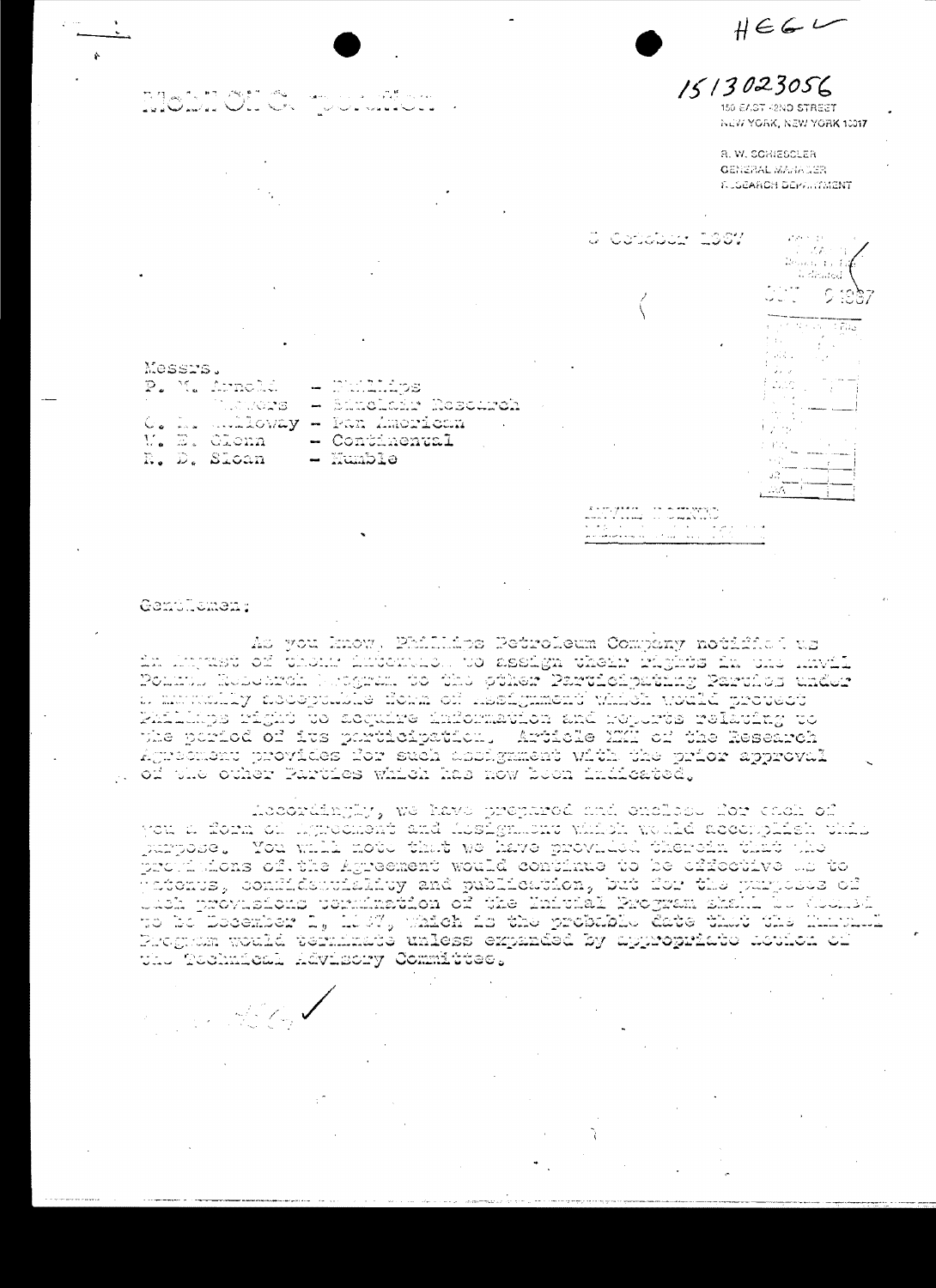

أباليا كالمسامات اعتصار لأعامتها  $\sim$  8  $\mu$  $\tau = -\mathbf{x}$  . ده پیاده و می وقد

Gentlicmen;

an Alban

As you know, Phillidgs Petroleum Company notifici us in hojast of thom intention to assign their fights in una muti Pontul Roboardh betgran to the pther Participating Parthus under a mataminy asospulle form of resignment which welki protect Participa right to acquire information and repures relating to whe poriod of its porticipation. Article MMI of the Research Agreement provides for such abhägament with the prior approval g of the other Parties which has now boon indicated.

Accordingly, we have prepared and enclose dor chok of you a florm of hytrochest and histign...cnv which would accomplish phili purpose. You will note that we have provided therein thit the profilatons of the Agreement would continue to be affective the to findenus, confliction that and publication, but it wished the server to<br>Unch provisions permimation of the Initial Program shall but the vicence to bo Docember  $\mathbb{L}_\theta$  1.037, which is the probable date that the funcula Program would terminate unless expanded by appropriate action of the Technical Advisory Committee.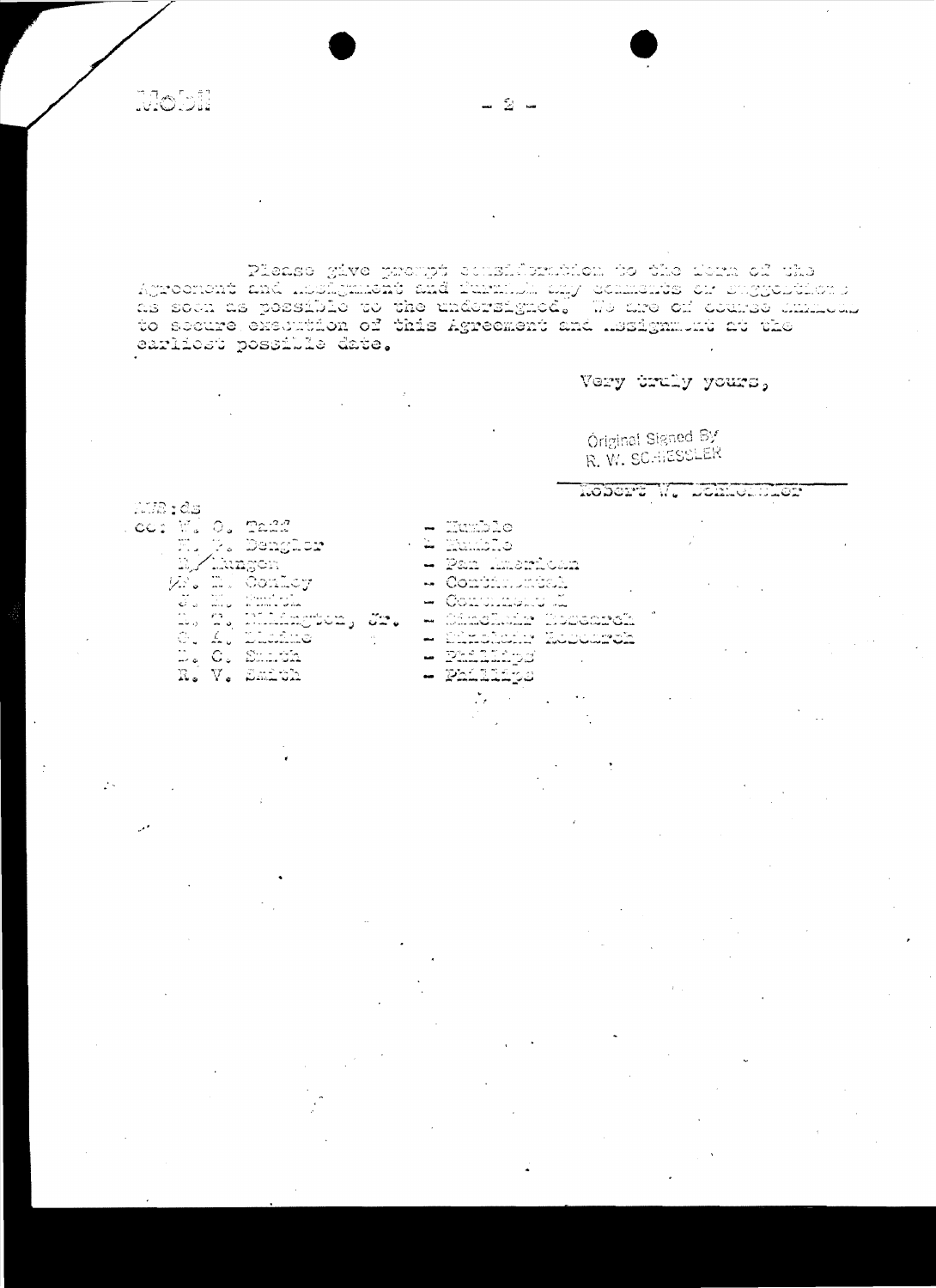**Mobil** 

Please give prompt cousideration to the dern of the Agroonent and hosilganeht and furnish any comments or suggestions ngiochens and hooggament and naparalyned. We are of course aminous earlicet possible date.

- 2 -

## Very truly yours,

Original Signed By R. W. SCHIESSLER

KODOPT W. DORKULDLOP

- TIR:ds ce: Willo, Taff<br>Ellis, Denglor<br>Willingen<br>Willingenloy ن ک n, n, hilángton, sr.<br>G. A. Dichne D. C. Smith N. V. Smith
- 
- $-$  Humble
- **A** Kakalo
- Pan imentoin
- Continuedia
- Comunicate a
- 
- Čímolanir Koosarch<br>Pinolanir Koosarch
	- Phalached
- $\overline{2}$ hiliijo
	- $\sum_{i=1}^{n} \alpha_i = \sum_{i=1}^{n} \alpha_i$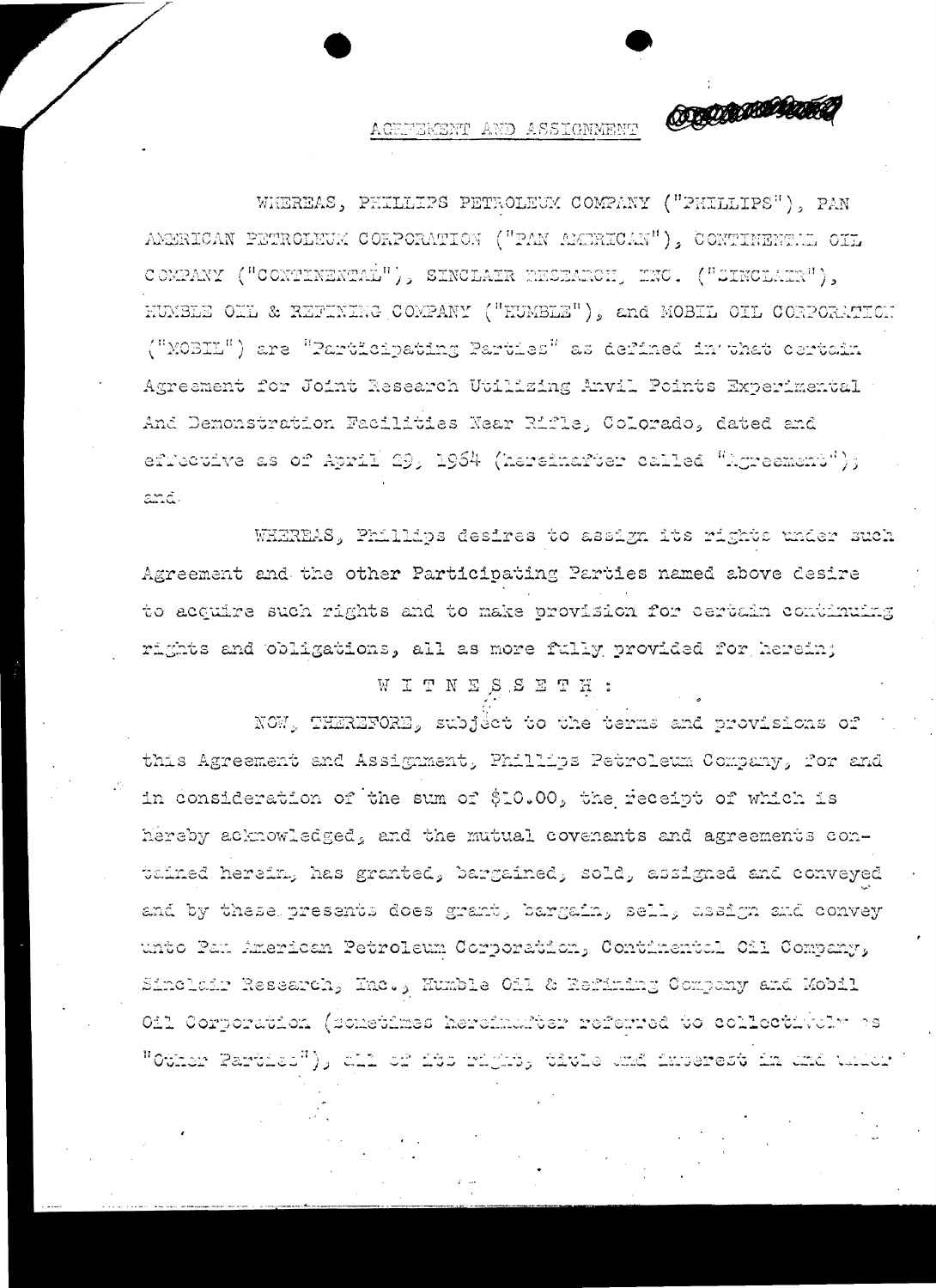**ORIGINAL COMPOSITION** 

## AGRFEMENT AND ASSIGNMENT

WHEREAS, PHILLIPS PETROLEUM COMPANY ("PHILLIPS"), PAN AMERICAN PETROLEUM CORPORATION ("PAN AMERICAN"), CONTINENTEL OIL COMPANY ("CONTINENTAL"), SINCLAIR RESEARCH, INC. ("SINCLAIR"), HUMBLE OIL & REFINING COMPANY ("HUMBLE"), and MOBIL OIL CORPORATION ("MOBIL") are "Participating Parties" as defined in that certain Agreement for Joint Research Utilizing Anvil Points Experimental And Demonstration Facilities Near Rifle, Colorado, dated and efrective as of April 29, 1964 (hereinafter called "Agreement");  $\alpha\alpha\bar{\alpha}$ 

WHEREAS, Phillips desires to assign its rights under such Agreement and the other Participating Parties named above desire to acquire such rights and to make provision for certain continuing rights and obligations, all as more fully provided for herein;

## WITNESSETH:

NOW, THEREFORE, subject to the terms and provisions of this Agreement and Assignment, Phillips Petroleum Company, for and in consideration of the sum of \$10.00, the receipt of which is hereby acknowledged, and the mutual covenants and agreements contained herein, has granted, bargained, sold, assigned and conveyed and by these presents does grant, bargain, sell, assign and convey unto Pau American Petroleum Corporation, Continental Cil Company, Sinclair Research, Inc., Humble Oil & Refining Company and Mobil Oil Corporation (sometimes hereimarter referred to collectivaly as "Ottack Damiica"); att at rad in mega termis chid dhagarest in ma tall tall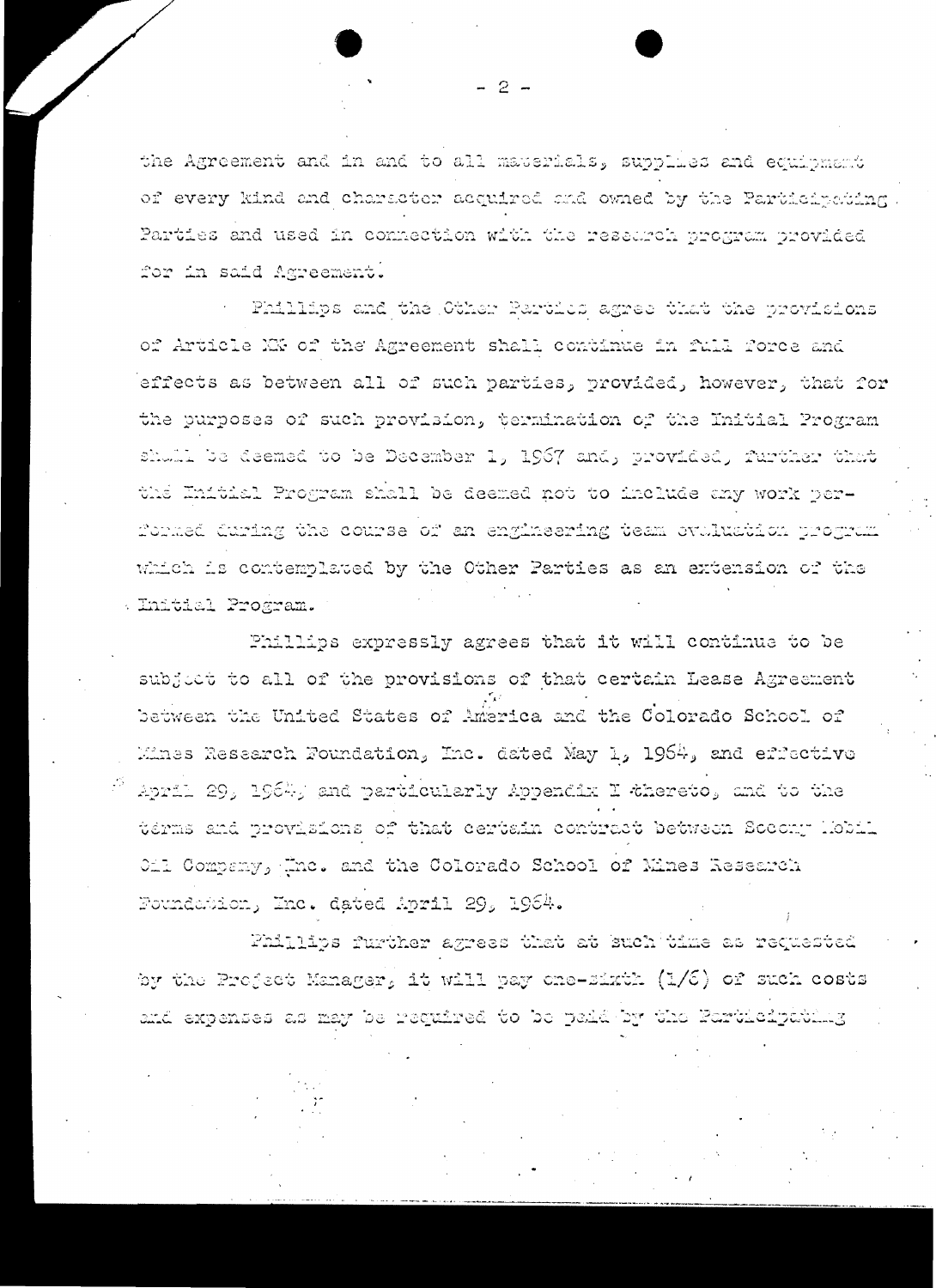the Agreement and in and to all materials, supplies and equipment of every kind and character acquired and owned by the Participation, Parties and used in connection with the research program provided for in said Agreement.

Phillips and the Other Partics agree that the provisions of Article MY of the Agreement shall continue in full force and effects as between all of such parties, provided, however, that for the purposes of such provision, termination of the Initial Program shull be deemed to be December 1, 1967 and, provided, further that the Initial Program shall be deemed not to include any work per-Formed during the course of an engineering team ovaluation program which is contemplated by the Other Parties as an extension of the Enitial Program.

Phillips expressly agrees that it will continue to be subject to all of the provisions of that certain Lease Agreement between the United States of America and the Colorado School of Mines Research Foundation, Inc. dated May 1, 1964, and effective April 29, 1964, and particularly Appendix I thereto, and to the terms and provisions of that certain contract between Socony Hobil Oil Company, the. and the Colorado School of Mines Research Foundation, Inc. dated April 29, 1964.

Phillips further agrees that at such time as requested by the Project Manager, it will pay one-sixth (1/6) of such costs and expenses as may be required to be paid by the Farticipathing

 $-2-$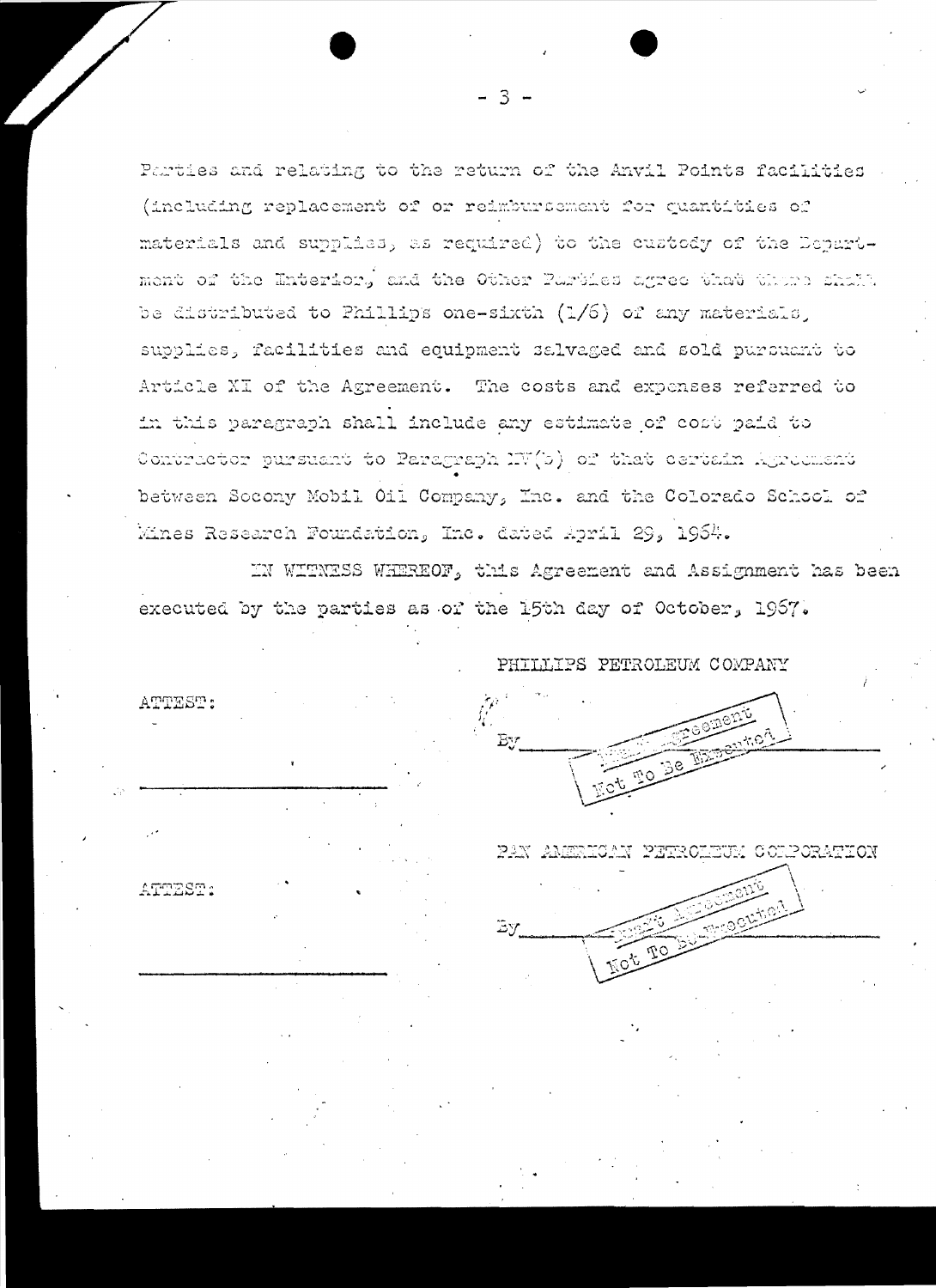Parties and relating to the return of the Anvil Points facilities (including replacement of or reimbursement for quantities of materials and supplies, as required) to the custody of the Department of the Enterior. and the Other Parties agree that there shall be distributed to Phillips one-sixth (1/6) of any materials, supplies, facilities and equipment salvaged and sold pursuant to Article XI of the Agreement. The costs and expenses referred to in this paragraph shall include any estimate of cost paid to Contractor pursuant to Paragraph IV(b) of that certain Agreement between Socony Mobil Oil Company, Inc. and the Colorado School of Mines Research Foundation, Inc. dated April 29, 1964.

 $\mathcal{R}$ 

IN WITNESS WHEREOF, this Agreement and Assignment has been executed by the parties as of the 15th day of October, 1957.

 $\mathbb{E} \mathcal{A}$ 

PHILLIPS PETROLEUM COMPANY

 $\mathbf{B}$ 



ATTEST:

PAN AMERICAN PETROLEUM COLPORATION